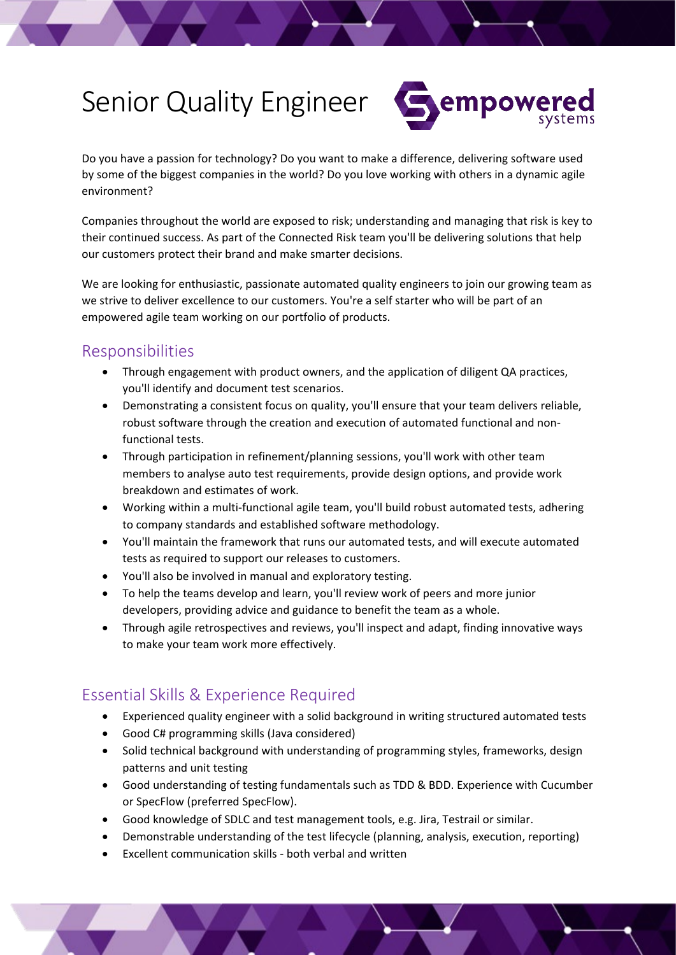# Senior Quality Engineer



Do you have a passion for technology? Do you want to make a difference, delivering software used by some of the biggest companies in the world? Do you love working with others in a dynamic agile environment?

Companies throughout the world are exposed to risk; understanding and managing that risk is key to their continued success. As part of the Connected Risk team you'll be delivering solutions that help our customers protect their brand and make smarter decisions.

We are looking for enthusiastic, passionate automated quality engineers to join our growing team as we strive to deliver excellence to our customers. You're a self starter who will be part of an empowered agile team working on our portfolio of products.

### Responsibilities

- Through engagement with product owners, and the application of diligent QA practices, you'll identify and document test scenarios.
- Demonstrating a consistent focus on quality, you'll ensure that your team delivers reliable, robust software through the creation and execution of automated functional and nonfunctional tests.
- Through participation in refinement/planning sessions, you'll work with other team members to analyse auto test requirements, provide design options, and provide work breakdown and estimates of work.
- Working within a multi-functional agile team, you'll build robust automated tests, adhering to company standards and established software methodology.
- You'll maintain the framework that runs our automated tests, and will execute automated tests as required to support our releases to customers.
- You'll also be involved in manual and exploratory testing.
- To help the teams develop and learn, you'll review work of peers and more junior developers, providing advice and guidance to benefit the team as a whole.
- Through agile retrospectives and reviews, you'll inspect and adapt, finding innovative ways to make your team work more effectively.

## Essential Skills & Experience Required

- Experienced quality engineer with a solid background in writing structured automated tests
- Good C# programming skills (Java considered)
- Solid technical background with understanding of programming styles, frameworks, design patterns and unit testing
- Good understanding of testing fundamentals such as TDD & BDD. Experience with Cucumber or SpecFlow (preferred SpecFlow).
- Good knowledge of SDLC and test management tools, e.g. Jira, Testrail or similar.
- Demonstrable understanding of the test lifecycle (planning, analysis, execution, reporting)
- Excellent communication skills both verbal and written